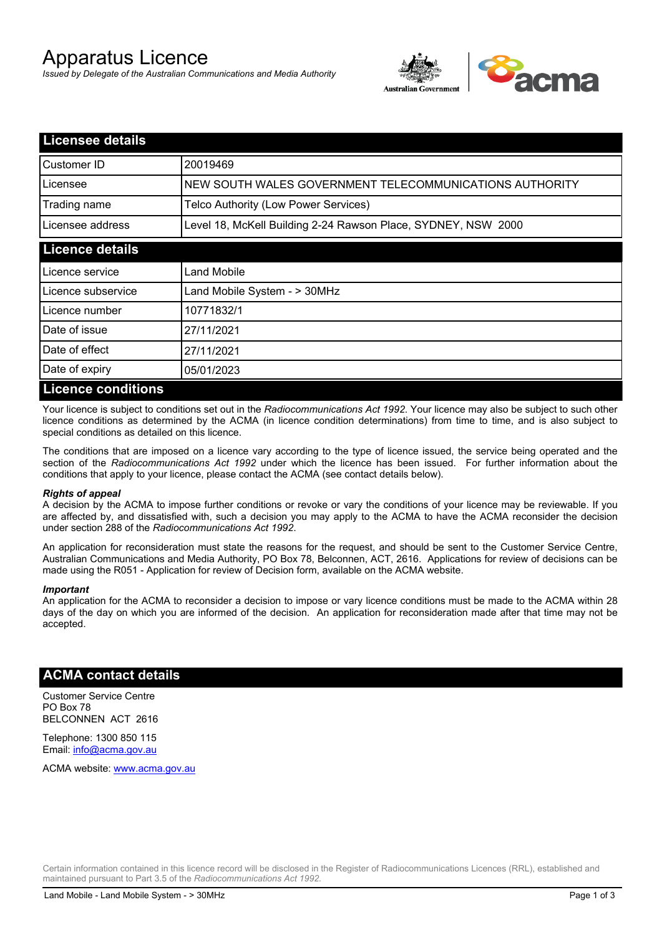# Apparatus Licence

*Issued by Delegate of the Australian Communications and Media Authority*



| <b>Licensee details</b>   |                                                               |
|---------------------------|---------------------------------------------------------------|
| Customer ID               | 20019469                                                      |
| Licensee                  | NEW SOUTH WALES GOVERNMENT TELECOMMUNICATIONS AUTHORITY       |
| Trading name              | Telco Authority (Low Power Services)                          |
| Licensee address          | Level 18, McKell Building 2-24 Rawson Place, SYDNEY, NSW 2000 |
| <b>Licence details</b>    |                                                               |
| l Licence service         | Land Mobile                                                   |
| Licence subservice        | Land Mobile System - > 30MHz                                  |
| Licence number            | 10771832/1                                                    |
| Date of issue             | 27/11/2021                                                    |
| Date of effect            | 27/11/2021                                                    |
| Date of expiry            | 05/01/2023                                                    |
| <b>Licence conditions</b> |                                                               |

Your licence is subject to conditions set out in the *Radiocommunications Act 1992*. Your licence may also be subject to such other licence conditions as determined by the ACMA (in licence condition determinations) from time to time, and is also subject to special conditions as detailed on this licence.

The conditions that are imposed on a licence vary according to the type of licence issued, the service being operated and the section of the *Radiocommunications Act 1992* under which the licence has been issued. For further information about the conditions that apply to your licence, please contact the ACMA (see contact details below).

### *Rights of appeal*

A decision by the ACMA to impose further conditions or revoke or vary the conditions of your licence may be reviewable. If you are affected by, and dissatisfied with, such a decision you may apply to the ACMA to have the ACMA reconsider the decision under section 288 of the *Radiocommunications Act 1992*.

An application for reconsideration must state the reasons for the request, and should be sent to the Customer Service Centre, Australian Communications and Media Authority, PO Box 78, Belconnen, ACT, 2616. Applications for review of decisions can be made using the R051 - Application for review of Decision form, available on the ACMA website.

#### *Important*

An application for the ACMA to reconsider a decision to impose or vary licence conditions must be made to the ACMA within 28 days of the day on which you are informed of the decision. An application for reconsideration made after that time may not be accepted.

### **ACMA contact details**

Customer Service Centre PO Box 78 BELCONNEN ACT 2616

Telephone: 1300 850 115 Email: info@acma.gov.au

ACMA website: www.acma.gov.au

Certain information contained in this licence record will be disclosed in the Register of Radiocommunications Licences (RRL), established and maintained pursuant to Part 3.5 of the *Radiocommunications Act 1992.*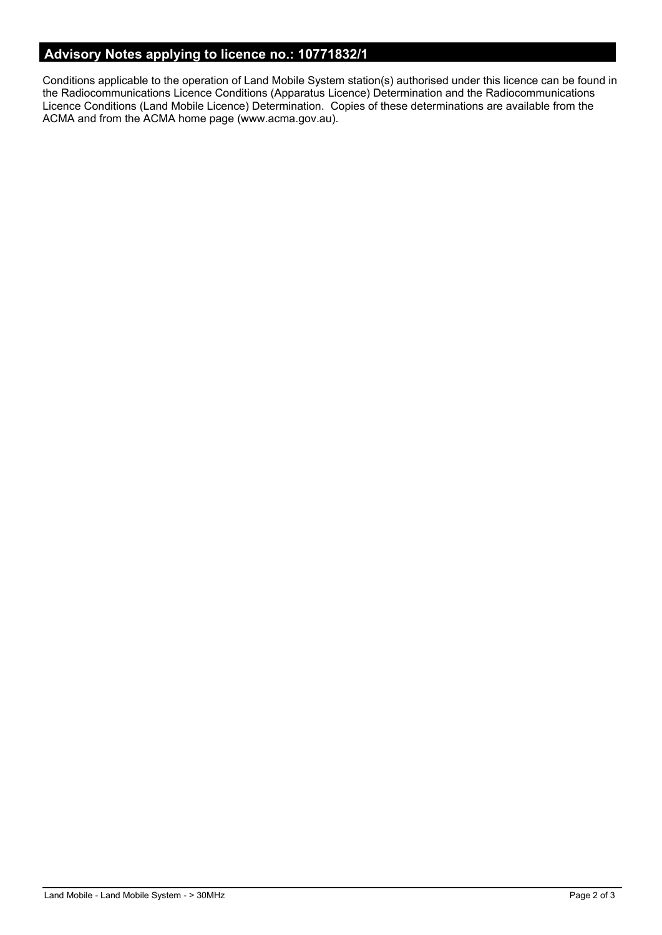# **Advisory Notes applying to licence no.: 10771832/1**

Conditions applicable to the operation of Land Mobile System station(s) authorised under this licence can be found in the Radiocommunications Licence Conditions (Apparatus Licence) Determination and the Radiocommunications Licence Conditions (Land Mobile Licence) Determination. Copies of these determinations are available from the ACMA and from the ACMA home page (www.acma.gov.au).